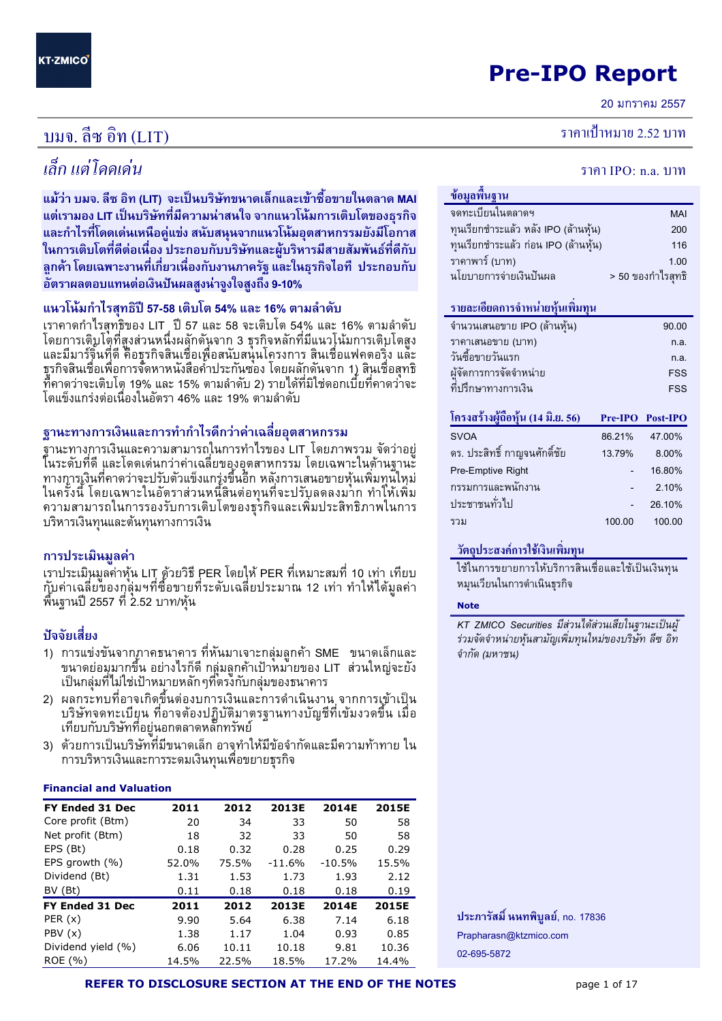## Pre-IPO Report

20 มกราคม 255<mark>7</mark>

#### บมจ. ลีซ อิ  $\eta$  (LIT) ขึ้น การเข้ามาการเข้ามาการเข้ามาการเข้ามาการเข้ามาการเข้ามาการเข้ามาการเข้ามาการเข้ามาการเข้ามาการเข้าม

# เล็ก แต่โดดเด่

แม้ว่า บมจ. ลีซ อิท (LIT) จะเป็นบริษัทขนาดเล็กและเข้าซื้อขายในตลาด MAI แต่เรามอง LIT เป็นบริษัทที่มีความน่าสนใจ จากแนวโน้มการเติบโตของธุรกิจ และกำไรที่โดดเด่นเหนือคู่แข่ง สนับสนุนจากแนวโน้มอุตสาหกรรมยังมีโอกาส ในการเติบโตที่ดีต่อเนื่อง ประกอบกับบริษัทและผู้บริหารมีสายสัมพันธ์ที่ดีกับ ิลกค้า โดยเฉพาะงานที่เกี่ยวเนื่องกับงานภาครัฐ และในธรกิจไอที ประกอบกับ อัตราผลตอบแทนต่อเงินปันผลสูงน่าจูงใจสูงถึง 9-10%

### แนวโน้มกำไรสุทธิปี 57-58 เติบโต 54% และ 16% ตามลำดับ

เราคาดกำไรสุทธิของ LIT , ปี 57 และ 58 จะเติบโต 54% และ 16% ตามลำดับ โดยการเติบโตที่สูงส่วนหนึ่งผลักดันจาก 3 ธุรกิจหลักที่มีแนวโน้มการเติบโตสูง และมีมาร์จิ้นที่ดี คือธุรกิจสินเชื่อเพื่อสนับสนุนโครงการ สินเชื่อแฟคตอริ่ง และ ธุรกิจสินเชื่อเพื่อการจัดหาหนังสือค้ำประกันซอง โดยผลักดันจาก 1) สินเชื่อสุทธิ ที่คาดว่าจะเติบโต 19% และ 15% ตามลำดับ 2) รายได้ที่มิใช่ดอกเบี้ยที่คาดว่าจะ โตแข็งแกร่งต่อเนื่องในอัตรา 46% และ 19% ตามลำดับ

### ฐานะทางการเงินและการทำกำไรดีกว่าค่าเฉลี่ยอฺตสาหกรรม

ฐานะทางการเงินและความสามารถในการทำไรของ LIT โดยภาพรวม จัดว่าอยู่ ในระดับที่ดี และโดดเด่นกว่าค่าเฉลี่ยของอุตสาหกรรม โดยเฉพาะในด้านฐานะี ทางการเงินที่คาดว่าจะปรับตัวแข็งแกรุ่งขึ้นอีก หลังการเสนอขายหุ้นเพิ่มทุนใหม่ ในครั้งนี้ โดยเฉพาะในอัตราส่วนหนี้สินต่อทุนที่จะปรับลดลงมาก ทำให้เพิ่ม ความสามารถในการรองรับการเติบโตของธุรกิจและเพิ่มประสิทธิภาพในการ บริหารเงินทุนและต้นทุนทางการเงิน

### การประเมิน<mark>มูลค่า</mark>

เราประเมินมูลค่าหุ้น LIT ด้วยวิธี PER โดยให้ PER ที่เหมาะสมที่ 10 เท่า เทียบ กับค่าเฉลี่ยของกุลุ่มฯที่ซื้อขายที่ระดับเฉลี่ยประมาณ 12 เท่า ทำให้ได้มูลค่า พื้นฐานปี 2557 ที่ 2.52 บาท/หุ้น

### ปัจจัยเสี่ยง

- 1) การแข่งขันจากฏาคธนาคาร ที่หันมาเจาะกลุ่มลูกค้า SME ขนาดเล็กและ ขนาดย่อมุมากขึ้น อย่างไรก็ดี กลุ่มลูกค้าเป้าหม่ายของ LIT ส่วนใหญ่จะยัง เป็นกลุ่มที่ไม่ใช่เป้าหมายหลักๆที่ตรงกับกลุ่มของธนาคาร
- 2) ผลกระทบที่อาจเกิดขึ้นต่องบการเงินและการดำเนินงาน จากการเข้าเป็น บริษัทจดทะเบียน ที่อาจต้องปฏิบัติมาตรฐานทางบัญชีที่เข้มงวดขึ้น เมื่อ เทียบกับบริษัทที่อยู่นอกตลาดหลั๊กทรัพย์
- 3) ด้วยการเป็นบริษัทที่มีขนาดเล็ก อาจุทำให้มีข้อจำกัดและมีความท้าทาย ใน การบริหารเงินและการระดมเงินทุนเพื่อขยายธุรกิจ

#### Financial and Valuation

| FY Ended 31 Dec    | 2011  | 2012  | 2013E    | 2014E    | 2015E |
|--------------------|-------|-------|----------|----------|-------|
| Core profit (Btm)  | 20    | 34    | 33       | 50       | 58    |
| Net profit (Btm)   | 18    | 32    | 33       | 50       | 58    |
| EPS (Bt)           | 0.18  | 0.32  | 0.28     | 0.25     | 0.29  |
| EPS growth (%)     | 52.0% | 75.5% | $-11.6%$ | $-10.5%$ | 15.5% |
| Dividend (Bt)      | 1.31  | 1.53  | 1.73     | 1.93     | 2.12  |
| BV (Bt)            | 0.11  | 0.18  | 0.18     | 0.18     | 0.19  |
| FY Ended 31 Dec    | 2011  | 2012  | 2013E    | 2014E    | 2015E |
| PER $(x)$          | 9.90  | 5.64  | 6.38     | 7.14     | 6.18  |
| PBV(x)             | 1.38  | 1.17  | 1.04     | 0.93     | 0.85  |
| Dividend yield (%) | 6.06  | 10.11 | 10.18    | 9.81     | 10.36 |
| ROE (%)            | 14.5% | 22.5% | 18.5%    | 17.2%    | 14.4% |

### ราคาเป้าหมาย 2.52 บาท

# $\mathcal{U}$ น จากว่า 12 มีนาคม 3 มีนาคม 3 มีนาคม 3 มีนาคม 3 มีนาคม 3 มีนาคม 3 มีนาคม 3 มีนาคม 3 มีนาคม 3 มีนาคม 3 มีนาคม 3 มีนาคม 3 มีนาคม 3 มีนาคม 3 มีนาคม 3 มีนาคม 3 มีนาคม 3 มีนาคม 3 มีนาคม 3 มีนาคม 3 มีนาคม 3 มีนาคม 3 มี

| ข้อมูลพื้นฐาน                        |        |                   |
|--------------------------------------|--------|-------------------|
| จดทะเบียนในตลาดฯ                     |        | <b>MAI</b>        |
| ทุนเรียกชำระแล้ว หลัง IPO (ล้านหุ้น) |        | 200               |
| ทุนเรียกชำระแล้ว ก่อน IPO (ล้านหุ้น) |        | 116               |
| ราคาพาร์ (บาท)                       |        | 1.00              |
| นโยบายการจ่ายเงินปันผล               |        | > 50 ของกำไรสุทธิ |
|                                      |        |                   |
| รายละเอียดการจำหน่ายหุ้นเพิ่มทุน     |        |                   |
| จำนวนเสนอขาย IPO (ล้านหุ้น)          |        | 90.00             |
| ราคาเสนอขาย (บาท)                    |        | n.a.              |
| วันซื้อขายวันแรก                     |        | n.a.              |
| ผู้จัดการการจัดจำหน่าย               |        | <b>FSS</b>        |
| ที่ปรึกษาทางการเงิน                  |        | <b>FSS</b>        |
|                                      |        |                   |
| โครงสร้างผู้ถือหุ้น (14 มิ.ย. 56)    |        | Pre-IPO Post-IPO  |
| <b>SVOA</b>                          | 86.21% | 47.00%            |
| ดร. ประสิทธิ์ กาญจนศักดิ์ชัย         | 13.79% | 8.00%             |
| Pre-Emptive Right                    |        | 16.80%            |

| ла. пасилп планимина п | 1 J.I J.V | <b>0.0070</b> |
|------------------------|-----------|---------------|
| Pre-Emptive Right      |           | 16.80%        |
| กรรมการและพนักงาน      |           | 2.10%         |
| ประชาชนทั่วไป          |           | 26.10%        |
| รวม                    | 100.00    | 100.00        |
|                        |           |               |

### วัตถุประสงค์การใช้เงินเพิ่มทุน

ใช้ในการขยายการให้บริการสินเชื่อและใช้เป็นเงินทุน หมุนเวียนในการดำเนินธุรกิจ

#### Note

KT ZMICO Securities มีส่วนได้ส่วนเสียในฐานะเป็นผู้ ร่วมจัดจำหน่ายหุ้นสามัญเพิ่มทุนใหม่ของบริษัท ลีซ อิท จำกัด (มหาชน)

ประภารัสมิ์ นนทพิบูลย์, no. 17836 Prapharasn@ktzmico.com 02-695-5872

REFER TO DISCLOSURE SECTION AT THE END OF THE NOTES page 1 of 17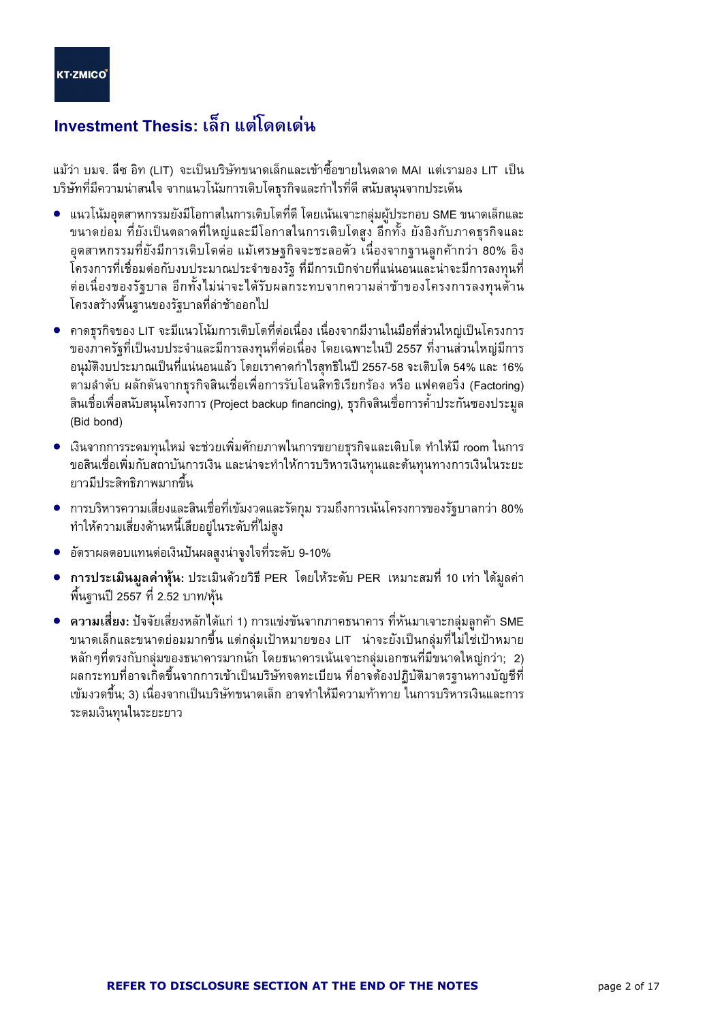## Investment Thesis: เล็ก แต่โดดเด่น

แม้ว่า บมจ. ลีซ อิท (LIT) จะเป็นบริษัทขนาดเล็กและเข้าซื้อขายในตลาด MAI แต่เรามอง LIT เป็น บริษัทที่มีความน่าสนใจ จากแนวโน้มการเติบโตธุรกิจและกำไรที่ดี สนับสนุนจากประเด็น

- แนวโน้มอุตสาหกรรมยังมีโอกาสในการเติบโตที่ดี โดยเน้นเจาะกลุ่มผู้ประกอบ SME ขนาดเล็กและ ขนาดย่อม ที่ยังเป็นตลาดที่ใหญ่และมีโอกาสในการเติบโตสูง อีกทั้ง ยังอิงกับภาคธุรกิจและ ้อตสาหกรรมที่ยังมีการเติบโตต่อ แม้เศรษจกิจจะชะลอตัว เนื่องจากจานลกค้ากว่า 80% อิง โครงการที่เชื่อมต่อกับงบประมาณประจำของรัฐ ที่มีการเบิกจ่ายที่แน่นอนและน่าจะมีการลงทุนที่ ต่อเนื่องของรัฐบาล อีกทั้งไม่น่าจะได้รับผลกระทบจากความล่าช้าของโครงการลงทนด้าน โครงสร้างพื้นฐานของรัฐบาลที่ล่าช้าออกไป
- คาดธุรกิจของ LIT จะมีแนวโน้มการเติบโตที่ต่อเนื่อง เนื่องจากมีงานในมือที่ส่วนใหญ่เป็นโครงการ ของภาครัฐที่เป็นงบประจำและมีการลงทุนที่ต่อเนื่อง โดยเฉพาะในปี 2557 ที่งานส่วนใหญ่มีการ ้อนุมัติงบประมาณเป็นที่แน่นอนแล้ว โดยเราคาดกำไรสุทธิในปี 2557-58 จะเติบโต 54% และ 16% ีตามลำดับ ผลักดันจากธุรกิจสินเชื่อเพื่อการรับโอนสิทธิเรียกร้อง หรือ แฟคตอริ่ง (Factoring) ้สินเชื่อเพื่อสนับสนุนโครงการ (Project backup financing), ธุรกิจสินเชื่อการค้ำประกันซองประมูล (Bid bond)
- เงินจากการระดมทนใหม่ จะช่วยเพิ่มศักยภาพในการขยายธรกิจและเติบโต ทำให้มี room ในการ ขอสินเชื่อเพิ่มกับสถาบันการเงิน และน่าจะทำให้การบริหารเงินทุนและต้นทุนทางการเงินในระยะ ยาวมีประสิทธิภาพมากขึ้น
- การบริหารความเสี่ยงและสินเชื่อที่เข้มงวดและรัดกุม รวมถึงการเน้นโครงการของรัฐบาลกว่า 80% ทำให้ความเสี่ยงด้านหนี้เสียอยู่ในระดับที่ไม่สูง
- ้อัตราผลตอบแทนต่อเงินปันผลสูงน่าจูงใจที่ระดับ 9-10%  $\bullet$
- ี การประเมินมูลค่าหุ้น: ประเมินด้วยวิธี PER โดยให้ระดับ PER เหมาะสมที่ 10 เท่า ได้มูลค่า ูพื้นฐานปี 2557 ที่ 2.52 บาท/หุ้น
- ความเสี่ยง: ปัจจัยเสี่ยงหลักได้แก่ 1) การแข่งขันจากภาคธนาคาร ที่หันมาเจาะกลุ่มลูกค้า SME ขนาดเล็กและขนาดย่อมมากขึ้น แต่กลุ่มเป้าหมายของ LIT น่าจะยังเป็นกลุ่มที่ไม่ใช่เป้าหมาย หลักๆที่ตรงกับกลุ่มของธนาคารมากนัก โดยธนาคารเน้นเจาะกลุ่มเอกชนที่มีขนาดใหญ่กว่า; 2) ผลกระทบที่อาจเกิดขึ้นจากการเข้าเป็นบริษัทจดทะเบียน ที่อาจต้องปฏิบัติมาตรฐานทางบัญชีที ้เข้มงวดขึ้น; 3) เนื่องจากเป็นบริษัทขนาดเล็ก อาจทำให้มีความท้าทาย ในการบริหารเงินและการ ระดมเงินทุนในระยะยาว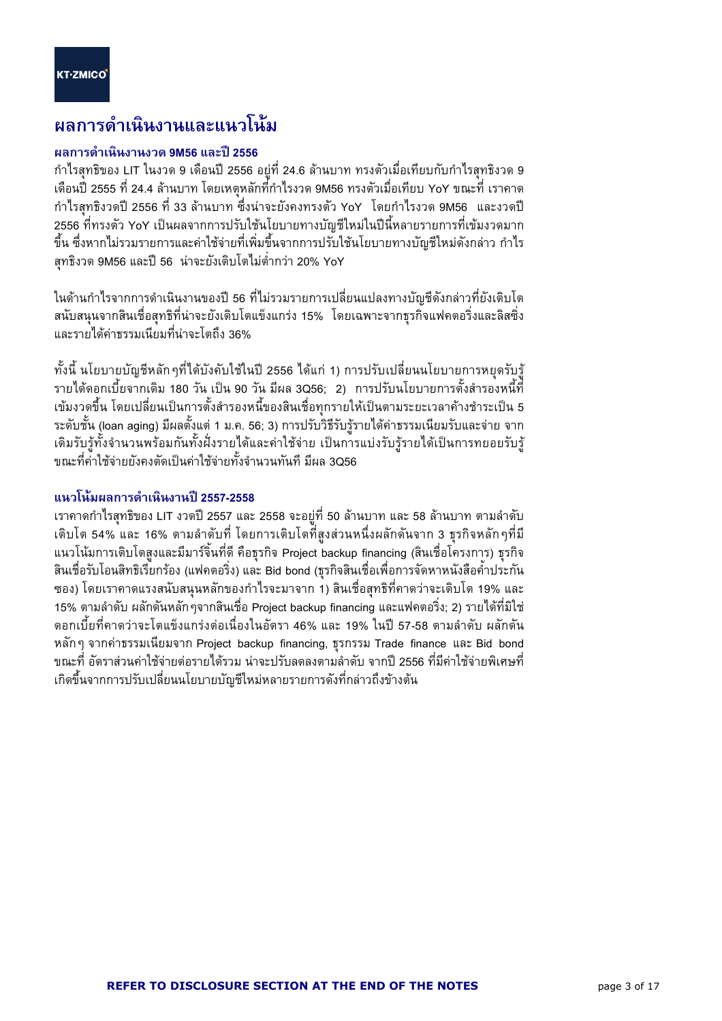l

## ผลการดำเนินงานและแนวโน้ม

### ้ผลการดำเนินงานงวด 9M56 และปี 2556

กำไรสุทธิของ LIT ในงวด 9 เดือนปี 2556 อยู่ที่ 24.6 ล้านบาท ทรงตัวเมื่อเทียบกับกำไรสุทธิงวด 9 เดือนปี 2555 ที่ 24.4 ล้านบาท โดยเหตุหลักที่กำไรงวด 9M56 ทรงตัวเมื่อเทียบ YoY ขณะที่ เราคาด กำไรสุทธิงวดปี 2556 ที่ 33 ล้านบาท ซึ่งน่าจะยังคงทรงตัว YoY โดยกำไรงวด 9M56 และงวดปี 2556 ที่ทรงตัว YoY เป็นผลจากการปรับใช้นโยบายทางบัญชีใหม่ในปีนี้หลายรายการที่เข้มงวดมาก ขึ้น ซึ่งหากไม่รวมรายการและค่าใช้จ่ายที่เพิ่มขึ้นจากการปรับใช้นโยบายทางบัญชีใหม่ดังกล่าว กำไร สุทธิงวด 9M56 และปี 56 น่าจะยังเติบโตไม่ต่ำกว่า 20% YoY

ในด้านกำไรจากการดำเนินงานของปี 56 ที่ไม่รวมรายการเปลี่ยนแปลงทางบัญชีดังกล่าวที่ยังเติบโต -& -- 
-65) 
()-+'&
 >-+ 15% 'B7 -8-)
 9
) และรายได้ค่าธรรมเนียมที่น่าจะโตถึง 36%

ทั้งนี้ นโยบายบัญชีหลักๆที่ได้บังคับใช้ในปี 2556 ได้แก่ 1) การปรับเปลี่ยนนโยบายการหยุดรับรู้ รายได้ดอกเบี้ยจากเดิม 180 วัน เป็น 90 วัน มีผล 3Q56; 2) การปรับนโยบายการตั้งสำรองหนี้ที่ เข้มงวดขึ้น โดยเปลี่ยนเป็นการตั้งสำรองหนี้ของสินเชื่อทุกรายให้เป็นตามระยะเวลาค้างชำระเป็น 5 ระดับชั้น (loan aging) มีผลตั้งแต่ 1 ม.ค. 56; 3) การปรับวิธีรับรู้รายได้ค่าธรรมเนียมรับและจ่าย จาก เดิมรับรู้ทั้งจำนวนพร้อมกันทั้งฝั่งรายได้และค่าใช้จ่าย เป็นการแบ่งรับรู้รายได้เป็นการทยอยรับรู้ ์ ขณะที่ค่ำใช้จ่ายยังคงตัดเป็นค่าใช้จ่ายทั้งจำนวนทันที มีผล 3056

## แนวโน้มผลการดำเนินงานปี 2557-2558

เราคาดกำไรสุทธิของ LIT งวดปี 2557 และ 2558 จะอยู่ที่ 50 ล้านบาท และ 58 ล้านบาท ตามลำดับ เติบโต 54% และ 16% ตามลำดับที่ โดยการเติบโตที่สูงส่วนหนึ่งผลักดันจาก 3 ธุรกิจหลักๆที่มี แนวโน้มการเติบโตสูงและมีมาร์จิ๋นที่ดี คือธุรกิจ Project backup financing (สินเชื่อโครงการ) ธุรกิจ สินเชื่อรับโอนสิทธิเรียกร้อง (แฟคตอริ่ง) และ Bid bond (ธุรกิจสินเชื่อเพื่อการจัดหาหนังสือค้ำประกัน ซอง) โดยเราคาดแรงสนับสนุนหลักของกำไรจะมาจาก 1) สินเชื่อสุทธิที่คาดว่าจะเติบโต 19% และ 15% ตามลำดับ ผลักดันหลักๆจากสินเชื่อ Project backup financing และแฟคตอริ่ง; 2) รายได้ที่มิใช่ ดอกเบี้ยที่คาดว่าจะโตแข็งแกร่งต่อเนื่องในอัตรา 46% และ 19% ในปี 57-58 ตามลำดับ ผลักดัน หลักๆ จากค่าธรรมเนียมจาก Project backup financing, ธุรกรรม Trade finance และ Bid bond ขณะที่ อัตราส่วนค่าใช้จ่ายต่อรายได้รวม น่าจะปรับลดลงตามลำดับ จากปี 2556 ที่มีค่าใช้จ่ายพิเศษที่ เกิดขึ้นจากการปรับเปลี่ยนนโยบายบัญชีใหม่หลายรายการดังที่กล่าวถึงข้างต้น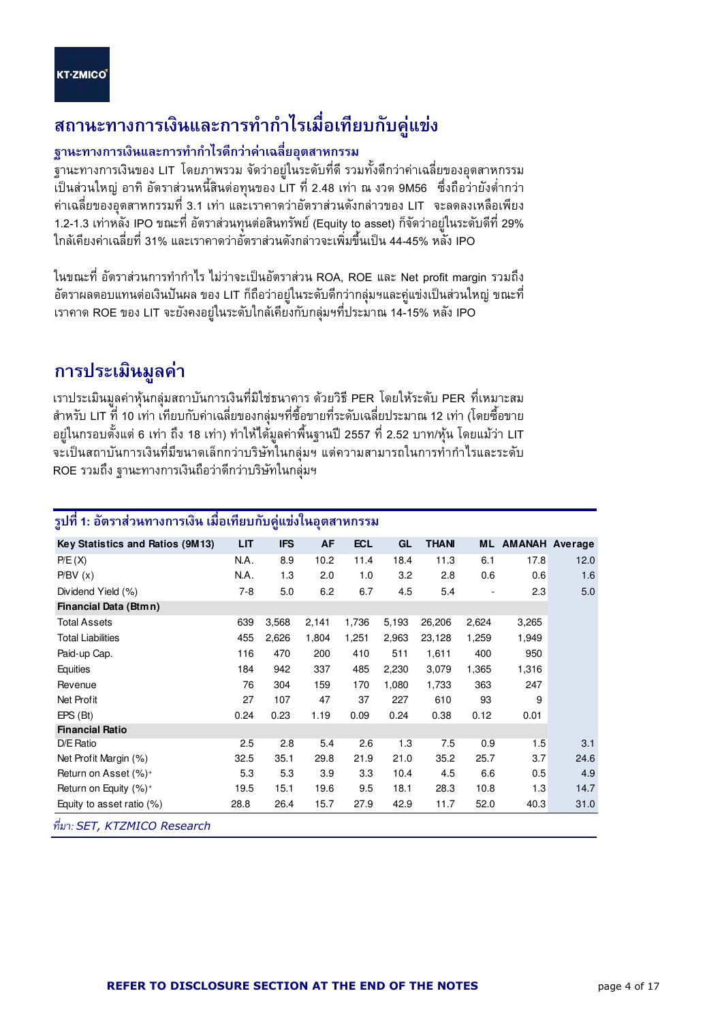l

## สถานะทางการเงินและการทำกำไรเมื่อเทียบกับคู่แข่ง

## ฐานะทางการเงินและการทำกำไรดีกว่าค่าเฉลี่ยอุตสาหกรรม

ฐานะทางการเงินของ LIT โดยภาพรวม จัดว่าอยู่ในระดับที่ดี รวมทั้งดีกว่าค่าเฉลี่ยของอุตสาหกรรม เป็นส่วนใหญ่ อาทิ อัตราส่วนหนี้สินต่อทุนของ LIT ที่ 2.48 เท่า ณ งวด 9M56 ซึ่งถือว่ายังต่ำกว่า ค่าเฉลี่ยของอุตสาหกรรมที่ 3.1 เท่า และเราคาดว่าอัตราส่วนดังกล่าวของ LIT จะลดลงเหลือเพียง 1.2-1.3 เท่าหลัง IPO ขณะที่ อัตราส่วนทุนต่อสินทรัพย์ (Equity to asset) ก็จัดว่าอยู่ในระดับดีที่ 29% ใกล้เคียงค่าเฉลี่ยที่ 31% และเราคาดว่าอัตราส่วนดังกล่าวจะเพิ่มขึ้นเป็น 44-45% หลัง IPO

ในขณะที่ อัตราส่วนการทำกำไร ไม่ว่าจะเป็นอัตราส่วน ROA, ROE และ Net profit margin รวมถึง อัตราผลตอบแทนต่อเงินปันผล ของ LIT ก็ถือว่าอยู่ในระดับดีกว่ากลุ่มฯและคู่แข่งเป็นส่วนใหญ่ ขณะที่ เราคาด ROE ของ LIT จะยังคงอยู่ในระดับใกล้เคียงกับกลุ่มฯที่ประมาณ 14-15% หลัง IPO

## การประเมินมูลค่า

เราประเมินมูลค่าหุ้นกลุ่มสถาบันการเงินที่มิใช่ธนาคาร ด้วยวิธี PER โดยให้ระดับ PER ที่เหมาะสม สำหรับ LIT ที่ 10 เท่า เทียบกับค่าเฉลี่ยของกลุ่มฯที่ซื้อขายที่ระดับเฉลี่ยประมาณ 12 เท่า (โดยซื้อขาย อยู่ในกรอบตั้งแต่ 6 เท่า ถึง 18 เท่า) ทำให้ได้มูลค่าพื้นฐานปี 2557 ที่ 2.52 บาท/หุ้น โดยแม้ว่า LIT จะเป็นสถาบันการเงินที่มีขนาดเล็กกว่าบริษัทในกลุ่มฯ แต่ความสามารถในการทำกำไรและระดับ ROE รวมถึง ฐานะทางการเงินถือว่าดีกว่าบริษัทในกลุ่มฯ

|                                  |         | ш          | м     |            |       |             |       |                          |      |
|----------------------------------|---------|------------|-------|------------|-------|-------------|-------|--------------------------|------|
| Key Statistics and Ratios (9M13) | LIT     | <b>IFS</b> | AF    | <b>ECL</b> | GL    | <b>THAN</b> |       | <b>ML AMANAH Average</b> |      |
| P/E(X)                           | N.A.    | 8.9        | 10.2  | 11.4       | 18.4  | 11.3        | 6.1   | 17.8                     | 12.0 |
| P/BV(x)                          | N.A.    | 1.3        | 2.0   | 1.0        | 3.2   | 2.8         | 0.6   | 0.6                      | 1.6  |
| Dividend Yield (%)               | $7 - 8$ | 5.0        | 6.2   | 6.7        | 4.5   | 5.4         |       | 2.3                      | 5.0  |
| Financial Data (Btmn)            |         |            |       |            |       |             |       |                          |      |
| <b>Total Assets</b>              | 639     | 3,568      | 2,141 | 1,736      | 5,193 | 26,206      | 2,624 | 3,265                    |      |
| <b>Total Liabilities</b>         | 455     | 2,626      | 1,804 | 1,251      | 2,963 | 23,128      | 1,259 | 1,949                    |      |
| Paid-up Cap.                     | 116     | 470        | 200   | 410        | 511   | 1,611       | 400   | 950                      |      |
| Equities                         | 184     | 942        | 337   | 485        | 2,230 | 3,079       | 1,365 | 1,316                    |      |
| Revenue                          | 76      | 304        | 159   | 170        | 1,080 | 1,733       | 363   | 247                      |      |
| Net Profit                       | 27      | 107        | 47    | 37         | 227   | 610         | 93    | 9                        |      |
| $EPS$ (Bt)                       | 0.24    | 0.23       | 1.19  | 0.09       | 0.24  | 0.38        | 0.12  | 0.01                     |      |
| <b>Financial Ratio</b>           |         |            |       |            |       |             |       |                          |      |
| D/E Ratio                        | 2.5     | 2.8        | 5.4   | 2.6        | 1.3   | 7.5         | 0.9   | 1.5                      | 3.1  |
| Net Profit Margin (%)            | 32.5    | 35.1       | 29.8  | 21.9       | 21.0  | 35.2        | 25.7  | 3.7                      | 24.6 |
| Return on Asset (%) <sup>+</sup> | 5.3     | 5.3        | 3.9   | 3.3        | 10.4  | 4.5         | 6.6   | 0.5                      | 4.9  |
| Return on Equity $(%)^+$         | 19.5    | 15.1       | 19.6  | 9.5        | 18.1  | 28.3        | 10.8  | 1.3                      | 14.7 |
| Equity to asset ratio $(\%)$     | 28.8    | 26.4       | 15.7  | 27.9       | 42.9  | 11.7        | 52.0  | 40.3                     | 31.0 |
| d<br>$CFT$ $1/TT1177000$         |         |            |       |            |       |             |       |                          |      |

## รูปที่ 1: อัตราส่วนทางการเงิน เมื่อเทียบกับคู่แข่งในอุตสาหกรรม

.-: SET, KTZMICO Research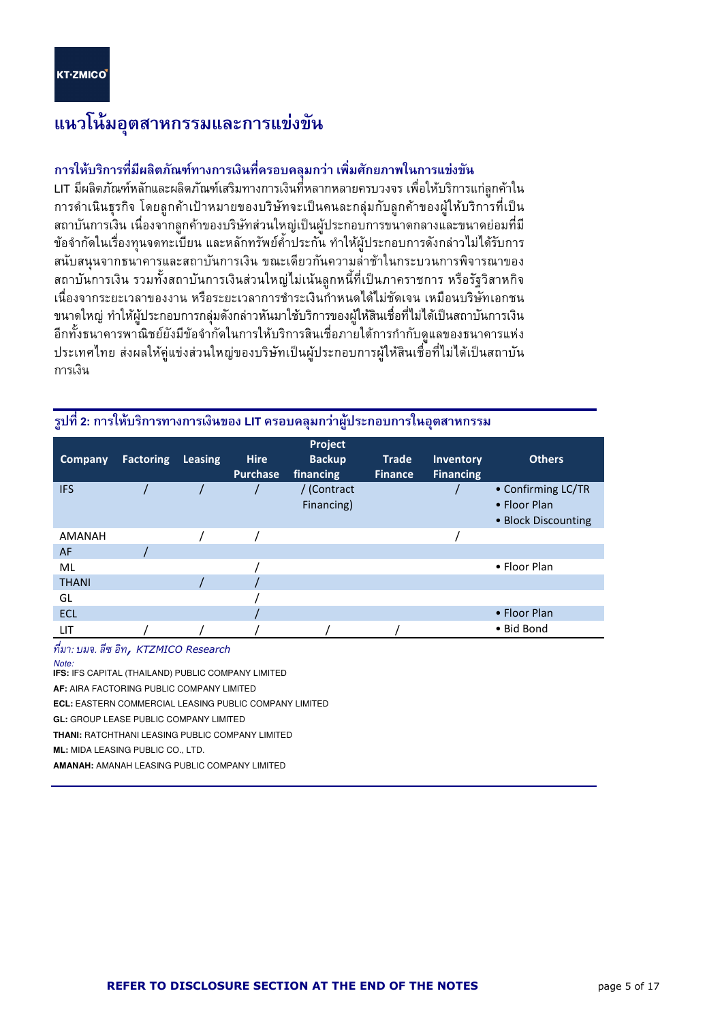l

## แนวโน้มอุตสาหกรรมและการแข่งขัน

## การให้บริการที่มีผลิตภัณฑ์ทางการเงินที่ครอบคลุมกว่า เพิ่มศักยภาพในการแข่งขัน

LIT มีผลิตภัณฑ์หลักและผลิตภัณฑ์เสริมทางการเงินที่หลากหลายครบวงจร เพื่อให้บริการแก่ลูกค้าใน การดำเนินธุรกิจ โดยลูกค้าเป้าหมายของบริษัทจะเป็นคนละกลุ่มกับลูกค้าของผู้ให้บริการที่เป็น สถาบันการเงิน เนื่องจากลูกค้าของบริษัทส่วนใหญ่เป็นผู้ประกอบการขนาดกลางและขนาดย่อมที่มี ข้อจำกัดในเรื่องทุนจดทะเบียน และหลักทรัพย์ค้ำประกัน ทำให้ผู้ประกอบการดังกล่าวไม่ได้รับการ สนับสนุนจากธนาคารและสถาบันการเงิน ขณะเดียวกันความล่าช้าในกระบวนการพิจารณาของ สถาบันการเงิน รวมทั้งสถาบันการเงินส่วนใหญ่ไม่เน้นลูกหนี้ที่เป็นภาคราชการ หรือรัฐวิสาหกิจ เนื่องจากระยะเวลาของงาน หรือระยะเวลาการชำระเงินกำหนดได้ไม่ชัดเจน เหมือนบริษัทเอกชน ขนาดใหญ่ ทำให้ผู้ประกอบการกลุ่มดังกล่าวหันมาใช้บริการของผู้ให้สินเชื่อที่ไม่ได้เป็นสถาบันการเงิน อีกทั้งธนาคารพาณิชย์ยังมีข้อจำกัดในการให้บริการสินเชื่อภายใต้การกำกับดูแลของธนาคารแห่ง ประเทศไทย ส่งผลให้คู่แข่งส่วนใหญ่ของบริษัทเป็นผู้ประกอบการผู้ให้สินเชื่อที่ไม่ได้เป็นสถาบัน การเงิน

|                |                  |                |                 | Project       |                |                  |                     |
|----------------|------------------|----------------|-----------------|---------------|----------------|------------------|---------------------|
| <b>Company</b> | <b>Factoring</b> | <b>Leasing</b> | <b>Hire</b>     | <b>Backup</b> | <b>Trade</b>   | <b>Inventory</b> | <b>Others</b>       |
|                |                  |                | <b>Purchase</b> | financing     | <b>Finance</b> | <b>Financing</b> |                     |
| <b>IFS</b>     |                  |                |                 | / (Contract   |                |                  | • Confirming LC/TR  |
|                |                  |                |                 | Financing)    |                |                  | • Floor Plan        |
|                |                  |                |                 |               |                |                  | • Block Discounting |
| <b>AMANAH</b>  |                  |                |                 |               |                |                  |                     |
| <b>AF</b>      |                  |                |                 |               |                |                  |                     |
| ML             |                  |                |                 |               |                |                  | • Floor Plan        |
| <b>THANI</b>   |                  |                |                 |               |                |                  |                     |
| GL             |                  |                |                 |               |                |                  |                     |
| <b>ECL</b>     |                  |                |                 |               |                |                  | • Floor Plan        |
| LIT            |                  |                |                 |               |                |                  | • Bid Bond          |

### รูปที่ 2: การให้บริการทางการเงินของ LIT ครอบคลุมกว่าผู้ประกอบการในอุตสาหกรรม

ที่มา: บมจ. ลีซ อิท**,** KTZMICO Research -

Note:

**IFS:** IFS CAPITAL (THAILAND) PUBLIC COMPANY LIMITED

**AF:** AIRA FACTORING PUBLIC COMPANY LIMITED

**ECL:** EASTERN COMMERCIAL LEASING PUBLIC COMPANY LIMITED

**GL:** GROUP LEASE PUBLIC COMPANY LIMITED

**THANI:** RATCHTHANI LEASING PUBLIC COMPANY LIMITED

**ML:** MIDA LEASING PUBLIC CO., LTD.

**AMANAH:** AMANAH LEASING PUBLIC COMPANY LIMITED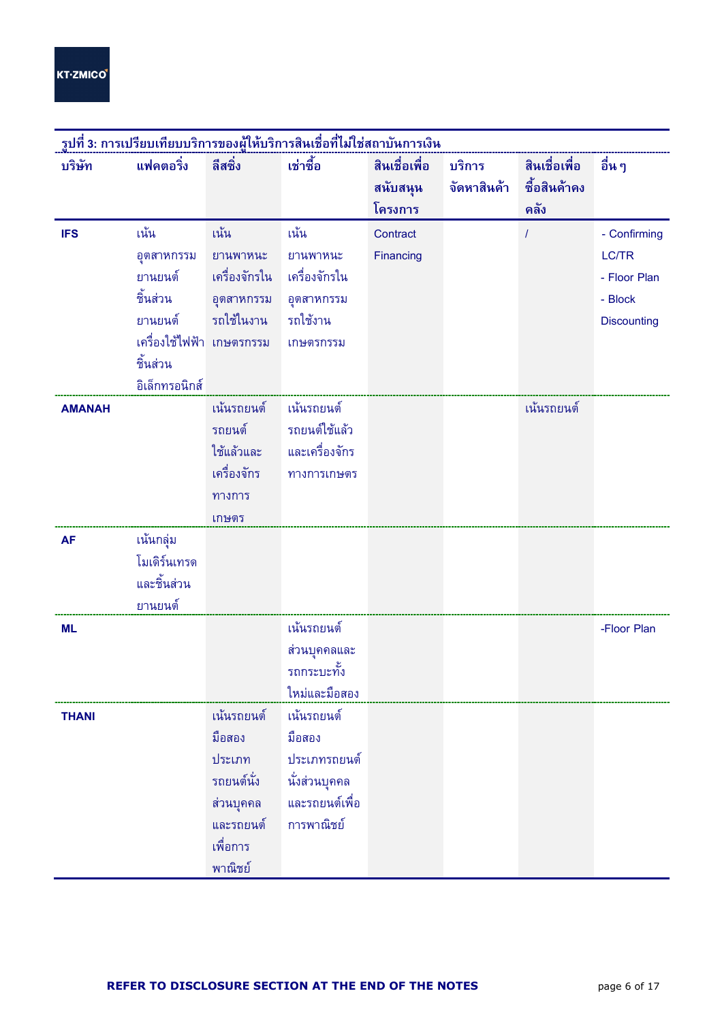l

| ้รูปที่ 3: การเปรียบเทียบบริการของผู้ให้บริการสินเชื่อที่ไม่ใช่สถาบันการเงิน |                           |               |                |               |             |               |                    |  |
|------------------------------------------------------------------------------|---------------------------|---------------|----------------|---------------|-------------|---------------|--------------------|--|
| บริษัท                                                                       | แฟคตอริ่ง                 | ลีสซิ่ง       | เช่าซื้อ       | สินเชื่อเพื่อ | บริการ      | สินเชื่อเพื่อ | อื่น ๆ             |  |
|                                                                              |                           |               |                | สนับสนุน      | จัดหาสินค้า | ชื้อสินค้าคง  |                    |  |
|                                                                              |                           |               |                | โครงการ       |             | คลัง          |                    |  |
| <b>IFS</b>                                                                   | เน้น                      | ้เน้น         | เน้น           | Contract      |             |               | - Confirming       |  |
|                                                                              | อุตสาหกรรม                | ยานพาหนะ      | ยานพาหนะ       | Financing     |             |               | LC/TR              |  |
|                                                                              | ยานยนต์                   | เครื่องจักรใน | เครื่องจักรใน  |               |             |               | - Floor Plan       |  |
|                                                                              | ชิ้นส่วน                  | อุตสาหกรรม    | อุตสาหกรรม     |               |             |               | - Block            |  |
|                                                                              | ยานยนต์                   | รถใช้ในงาน    | รถใช้งาน       |               |             |               | <b>Discounting</b> |  |
|                                                                              | เครื่องใช้ไฟฟ้า เกษตรกรรม |               | เกษตรกรรม      |               |             |               |                    |  |
|                                                                              | ชิ้นส่วน                  |               |                |               |             |               |                    |  |
|                                                                              | อิเล็กทรอนิกส์            |               |                |               |             |               |                    |  |
| <b>AMANAH</b>                                                                |                           | เน้นรถยนต์    | ้เน้นรถยนต์    |               |             | เน้นรถยนต์    |                    |  |
|                                                                              |                           | รถยนต์        | รถยนต์ใช้แล้ว  |               |             |               |                    |  |
|                                                                              |                           | ใช้แล้วและ    | และเครื่องจักร |               |             |               |                    |  |
|                                                                              |                           | เครื่องจักร   | ทางการเกษตร    |               |             |               |                    |  |
|                                                                              |                           | ทางการ        |                |               |             |               |                    |  |
|                                                                              |                           | เกษตร         |                |               |             |               |                    |  |
| <b>AF</b>                                                                    | เน้นกลุ่ม                 |               |                |               |             |               |                    |  |
|                                                                              | โมเดิร์นเทรด              |               |                |               |             |               |                    |  |
|                                                                              | และชิ้นส่วน               |               |                |               |             |               |                    |  |
|                                                                              | ยานยนต์                   |               |                |               |             |               |                    |  |
| <b>ML</b>                                                                    |                           |               | เน้นรถยนต์     |               |             |               | -Floor Plan        |  |
|                                                                              |                           |               | ส่วนบุคคลและ   |               |             |               |                    |  |
|                                                                              |                           |               | รถกระบะทั้ง    |               |             |               |                    |  |
|                                                                              |                           |               | ใหม่และมือสอง  |               |             |               |                    |  |
| <b>THANI</b>                                                                 |                           | เน้นรถยนต์    | เน้นรถยนต์     |               |             |               |                    |  |
|                                                                              |                           | มือสอง        | มือสอง         |               |             |               |                    |  |
|                                                                              |                           | ประเภท        | ประเภทรถยนต์   |               |             |               |                    |  |
|                                                                              |                           | รถยนต์นั่ง    | นั่งส่วนบุคคล  |               |             |               |                    |  |
|                                                                              |                           | ส่วนบุคคล     | และรถยนต์เพื่อ |               |             |               |                    |  |
|                                                                              |                           | และรถยนต์     | การพาณิชย์     |               |             |               |                    |  |
|                                                                              |                           | เพื่อการ      |                |               |             |               |                    |  |
|                                                                              |                           | พาณิชย์       |                |               |             |               |                    |  |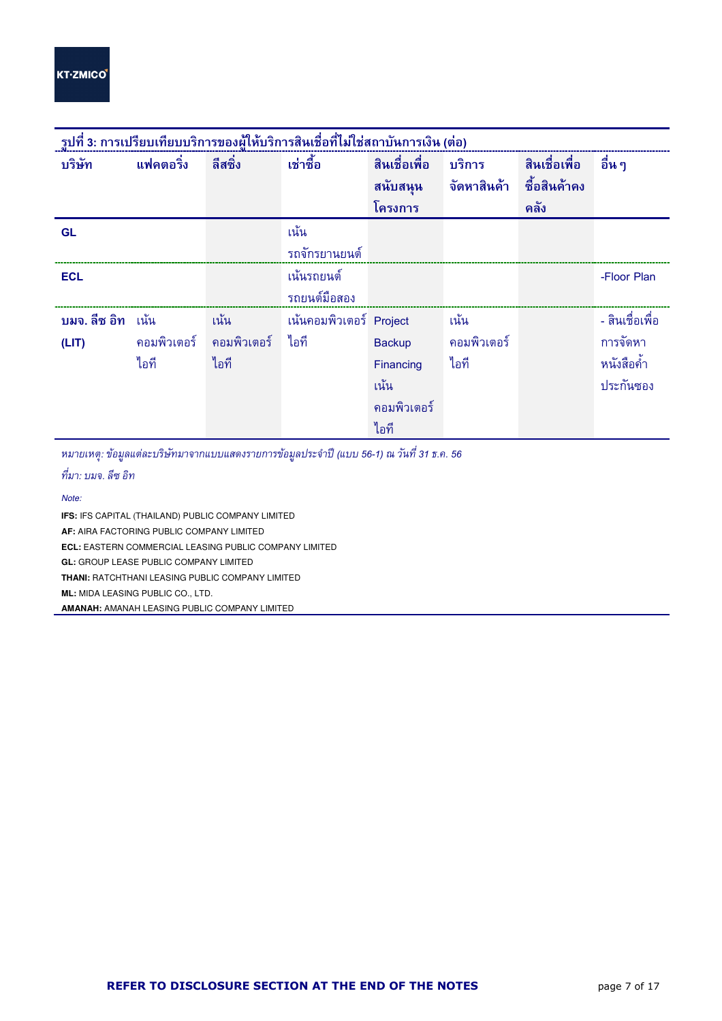l

| ู รูปที่ 3: การเปรียบเทียบบริการของผู้ให้บริการสินเชื่อที่ไม่ใช่สถาบันการเงิน (ต่อ) |                  |              |                         |               |              |               |                 |  |  |
|-------------------------------------------------------------------------------------|------------------|--------------|-------------------------|---------------|--------------|---------------|-----------------|--|--|
| บริษัท                                                                              | <b>แฟคตอริ่ง</b> | ลีสซิ่ง      | เช่าซื้อ                | สินเชื่อเพื่อ | บริการ       | สินเชื่อเพื่อ | ้อื่น ๆ         |  |  |
|                                                                                     |                  |              |                         | สนับสนุน      | ้จัดหาสินค้า | ชื้อสินค้าคง  |                 |  |  |
|                                                                                     |                  |              |                         | โครงการ       |              | คลัง          |                 |  |  |
| <b>GL</b>                                                                           |                  |              | เน้น                    |               |              |               |                 |  |  |
|                                                                                     |                  |              | รถจักรยานยนต์           |               |              |               |                 |  |  |
| <b>ECL</b>                                                                          |                  |              | ้เน้นรถยนต์             |               |              |               | -Floor Plan     |  |  |
|                                                                                     |                  |              | รถยนต์มือสอง            |               |              |               |                 |  |  |
| บมจ. ลีซ อิท แน้น                                                                   |                  | เน้น         | เน้นคอมพิวเตอร์ Project |               | ้เน้น        |               | - สินเชื่อเพื่อ |  |  |
| (LIT)                                                                               | คอมพิวเตอร์      | ิคอมพิวเตอร์ | ไอที                    | <b>Backup</b> | ิคอมพิวเตอร์ |               | การจัดหา        |  |  |
|                                                                                     | ไอที             | ไอที         |                         | Financing     | ไอที         |               | หนังสือค้ำ      |  |  |
|                                                                                     |                  |              |                         | ้เน้น         |              |               | ประกันซอง       |  |  |
|                                                                                     |                  |              |                         | คอมพิวเตอร์   |              |               |                 |  |  |
|                                                                                     |                  |              |                         | ไอที          |              |               |                 |  |  |

หมายเหตุ: ข้อมูลแต่ละบริษัทมาจากแบบแสดงรายการข้อมูลประจำปี (แบบ 56-1) ณ วันที่ 31 ธ.ค. 56

ที่มา: บมจ. ลีซ อิท

Note:

**IFS:** IFS CAPITAL (THAILAND) PUBLIC COMPANY LIMITED

**AF:** AIRA FACTORING PUBLIC COMPANY LIMITED

**ECL:** EASTERN COMMERCIAL LEASING PUBLIC COMPANY LIMITED

**GL:** GROUP LEASE PUBLIC COMPANY LIMITED

**THANI:** RATCHTHANI LEASING PUBLIC COMPANY LIMITED

**ML:** MIDA LEASING PUBLIC CO., LTD.

**AMANAH:** AMANAH LEASING PUBLIC COMPANY LIMITED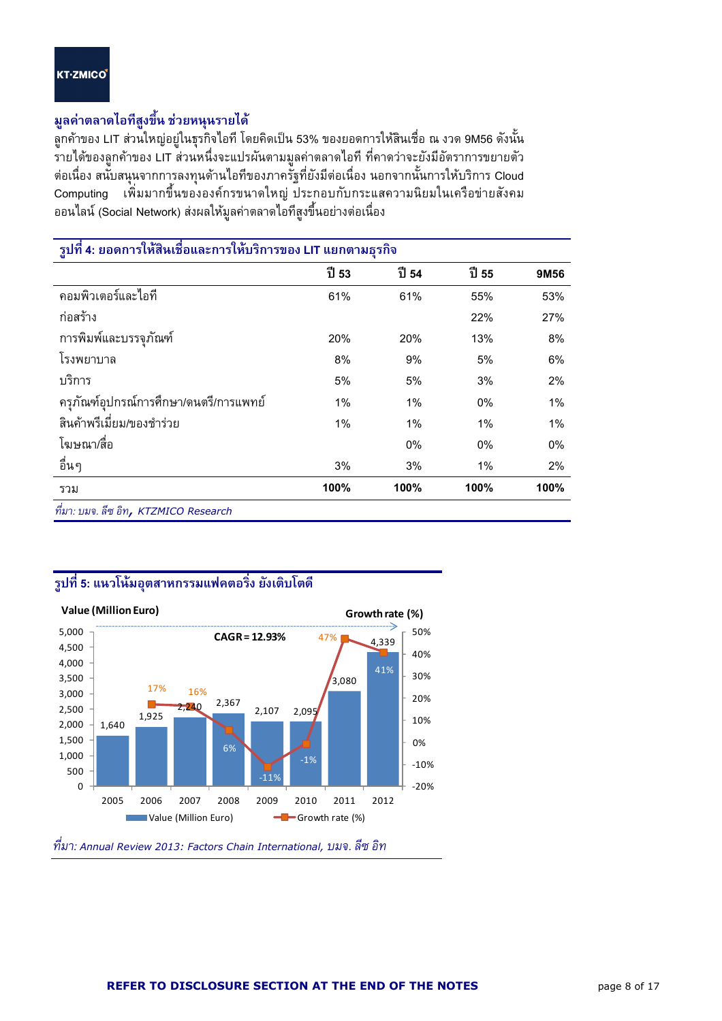l

## มูลค่าตลาดไอทีสูงขึ้น ช่วยหนุนรายได้

ลูกค้าของ LIT ส่วนใหญ่อยู่ในธุรกิจไอที โดยคิดเป็น 53% ของยอดการให้สินเชื่อ ณ งวด 9M56 ดังนั้น รายได้ของลูกค้าของ LIT ส่วนหนึ่งจะแปรผันตามมูลค่าตลาดไอที ที่คาดว่าจะยังมีอัตราการขยายตัว ต่อเนื่อง สนับสนุนจากการลงทุนด้านไอทีของภาครัฐที่ยังมีต่อเนื่อง นอกจากนั้นการให้บริการ Cloud Computing เพิ่มมากขึ้นขององค์กรขนาดใหญ่ประกอบกับกระแสความนิยมในเครือข่ายสังคม ่ ออนไลน์ (Social Network) ส่งผลให้มูลค่าตลาดไอ<sup>้</sup>ที่สูงขึ้นอย่างต่อเนื่อง

| ้รูปที่ 4: ยอดการให้สินเชื่อและการให้บริการของ LIT แยกตามธุรกิจ |       |       |       |      |
|-----------------------------------------------------------------|-------|-------|-------|------|
|                                                                 | ปี 53 | ปี 54 | ปี 55 | 9M56 |
| คอมพิวเตอร์และไอที                                              | 61%   | 61%   | 55%   | 53%  |
| ก่อสร้าง                                                        |       |       | 22%   | 27%  |
| การพิมพ์และบรรจภัณฑ์                                            | 20%   | 20%   | 13%   | 8%   |
| โรงพยาบาล                                                       | 8%    | 9%    | 5%    | 6%   |
| บริการ                                                          | 5%    | 5%    | 3%    | 2%   |
| ครุภัณฑ์อุปกรณ์การศึกษา/ดนตรี/การแพทย์                          | 1%    | 1%    | 0%    | 1%   |
| สินค้าพรีเมี่ยม/ของชำร่วย                                       | 1%    | 1%    | 1%    | 1%   |
| โฆษณา/สื่อ                                                      |       | 0%    | 0%    | 0%   |
| อื่นๆ                                                           | 3%    | 3%    | 1%    | 2%   |
| รวม                                                             | 100%  | 100%  | 100%  | 100% |
| ที่มา: บมจ. ลีซ อิท, KTZMICO Research                           |       |       |       |      |

## รูปที่ 5: แนวโน้มอุตสาหกรรมแฟคตอริ่ง ยังเติบโตดี



ที่มา: Annual Review 2013: Factors Chain International, บมจ. ลีซ อิท -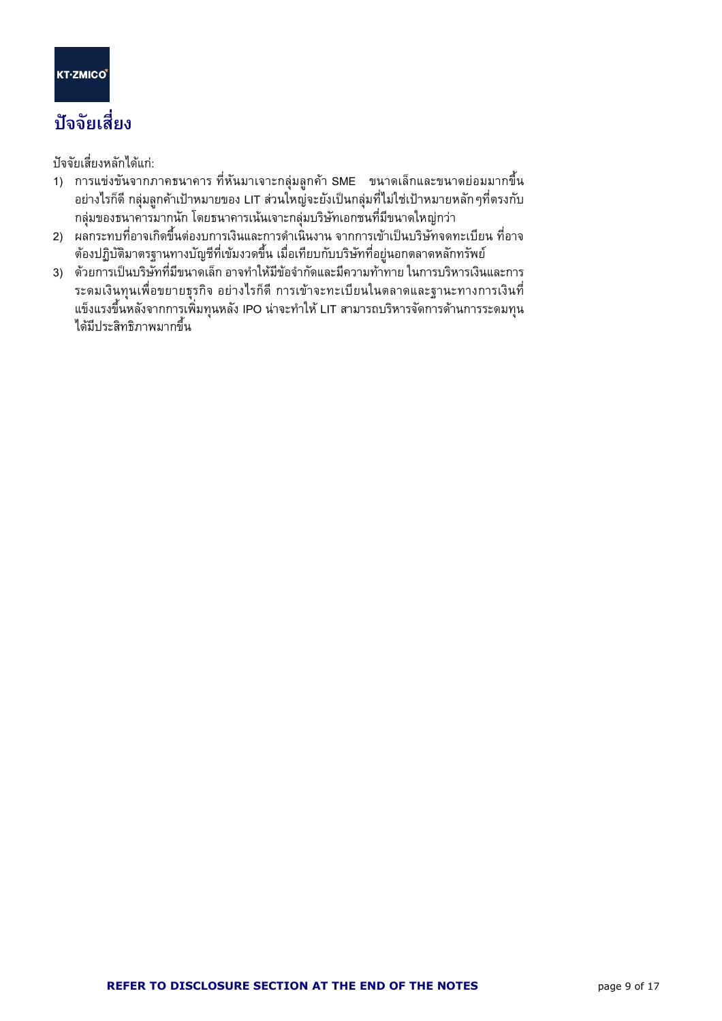l

## บัจจัยเสี่ยง

ปัจจัยเสี่ยงหลักได้แก่:

- 1) การแข่งขันจากภาคธนาคาร ที่หันมาเจาะกลุ่มลูกค้า SME ขนาดเล็กและขนาดย่อมมากขึ้น อย่างไรก็ดี กลุ่มลูกค้าเป้าหมายของ LIT ส่วนใหญ่จะยังเป็นกลุ่มที่ไม่ใช่เป้าหมายหลัก ๆที่ตรงกับ กลุ่มของธนาคารมากนัก โดยธนาคารเน้นเจาะกลุ่มบริษัทเอกชนที่มีขนาดใหญ่กว่า
- 2) ผลกระทบที่อาจเกิดขึ้นต่องบการเงินและการดำเนินงาน จากการเข้าเป็นบริษัทจดทะเบียน ที่อาจ ต้องปฏิบัติมาตรฐานทางบัญชีที่เข้มงวดขึ้น เมื่อเทียบกับบริษัทที่อยู่นอกตลาดหลักทรัพย์
- 3) ด้วยการเป็นบริษัทที่มีขนาดเล็ก อาจทำให้มีข้อจำกัดและมีความท้าทาย ในการบริหารเงินและการ ระดมเงินทุนเพื่อขยายธุรกิจ อย่างไรก็ดี การเข้าจะทะเบียนในตลาดและฐานะทางการเงินที่ แข็งแรงขึ้นหลังจากการเพิ่มทุนหลัง IPO น่าจะทำให้ LIT สามารถบริหารจัดการด้านการระดมทุน ใด้มีประสิทธิภาพมากขึ้น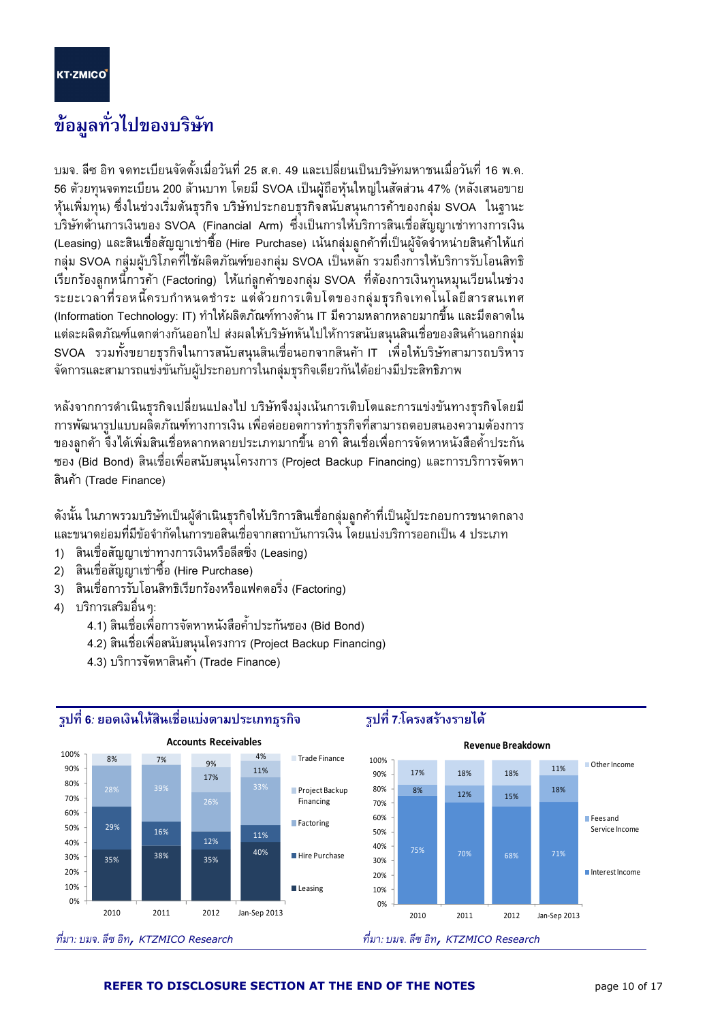l

## ข้อมูลทั่วไปของบริษัท

บมจ. ลีซ อิท จดทะเบียนจัดตั้งเมื่อวันที่ 25 ส.ค. 49 และเปลี่ยนเป็นบริษัทมหาชนเมื่อวันที่ 16 พ.ค. 56 ด้วยทุนจดทะเบียน 200 ล้านบาท โดยมี SVOA เป็นผู้ถือหุ้นใหญ่ในสัดส่วน 47% (หลังเสนอขาย หุ้นเพิ่มทุน) ซึ่งในช่วงเริ่มต้นธุรกิจ บริษัทประกอบธุรกิจสนับสนุนการค้าของกลุ่ม SVOA ในฐานะ บริษัทด้านการเงินของ SVOA (Financial Arm) ซึ่งเป็นการให้บริการสินเชื่อสัญญาเช่าทางการเงิน (Leasing) และสินเชื่อสัญญาเช่าซื้อ (Hire Purchase) เน้นกลุ่มลูกค้าที่เป็นผู้จัดจำหน่ายสินค้าให้แก่ กลุ่ม SVOA กลุ่มผู้บริโภคที่ใช้ผลิตภัณฑ์ของกลุ่ม SVOA เป็นหลัก รวมถึงการให้บริการรับโอนสิทธิ เรียกร้องลูกหนี้การค้า (Factoring) ให้แก่ลูกค้าของกลุ่ม SVOA ที่ต้องการเงินทุนหมุนเวียนในช่วง ระยะเวลาที่รอหนี้ครบกำหนดชำระ แต่ด้วยการเติบโตของกลุ่มธุรกิจเทคโนโลยีสารสนเทศ (Information Technology: IT) ทำให้ผลิตภัณฑ์ทางด้าน IT มีความหลากหลายมากขึ้น และมีตลาดใน แต่ละผลิตภัณฑ์แตกต่างกันออกไป ส่งผลให้บริษัทหันไปให้การสนับสนุนสินเชื่อของสินค้านอกกลุ่ม SVOA รวมทั้งขยายธุรกิจในการสนับสนุนสินเชื่อนอกจากสินค้า IT เพื่อให้บริษัทสามารถบริหาร จัดการและสามารถแข่งขันกับผู้ประกอบการในกลุ่มธุรกิจเดียวกันได้อย่างมีประสิทธิภาพ

หลังจากการดำเนินธุรกิจเปลี่ยนแปลงไป บริษัทจึงมุ่งเน้นการเติบโตและการแข่งขันทางธุรกิจโดยมี การพัฒนารูปแบบผลิตภัณฑ์ทางการเงิน เพื่อต่อยอดการทำธุรกิจที่สามารถตอบสนองความต้องการ ของลูกค้า จึงได้เพิ่มสินเชื่อหลากหลายประเภทมากขึ้น อาทิ สินเชื่อเพื่อการจัดหาหนังสือค้ำประกัน ซอง (Bid Bond) สินเชื่อเพื่อสนับสนุนโครงการ (Project Backup Financing) และการบริการจัดหา สินค้า (Trade Finance)

ดังนั้น ในภาพรวมบริษัทเป็นผู้ดำเนินธุรกิจให้บริการสินเชื่อกลุ่มลูกค้าที่เป็นผู้ประกอบการขนาดกลาง และขนาดย่อมที่มีข้อจำกัดในการขอสินเชื่อจากสถาบันการเงิน โดยแบ่งบริการออกเป็น 4 ประเภท

- 1) สินเชื่อสัญญาเช่าทางการเงินหรือลีสซิ่ง (Leasing)
- 2) สินเชื่อสัญญาเช่าซื้อ (Hire Purchase)
- 3) สินเชื่อการรับโอนสิทธิเรียกร้องหรือแฟคตอริ่ง (Factoring)
- 4) บริการเสริมอื่นๆ:
- 4.1) สินเชื่อเพื่อการจัดหาหนังสือค้ำประกันซอง (Bid Bond)
	- 4.2) สินเชื่อเพื่อสนับสนุนโครงการ (Project Backup Financing)
	- 4.3) บริการจัดหาสินค้า (Trade Finance)

ี รูปที่ 6: ยอดเงินให้สินเชื่อแบ่งตามประเภทธุรกิจ



## ้รูปที่ 7:โครงสร้างรายได้

#### REFER TO DISCLOSURE SECTION AT THE END OF THE NOTES **page 10 of 17** and the section of 17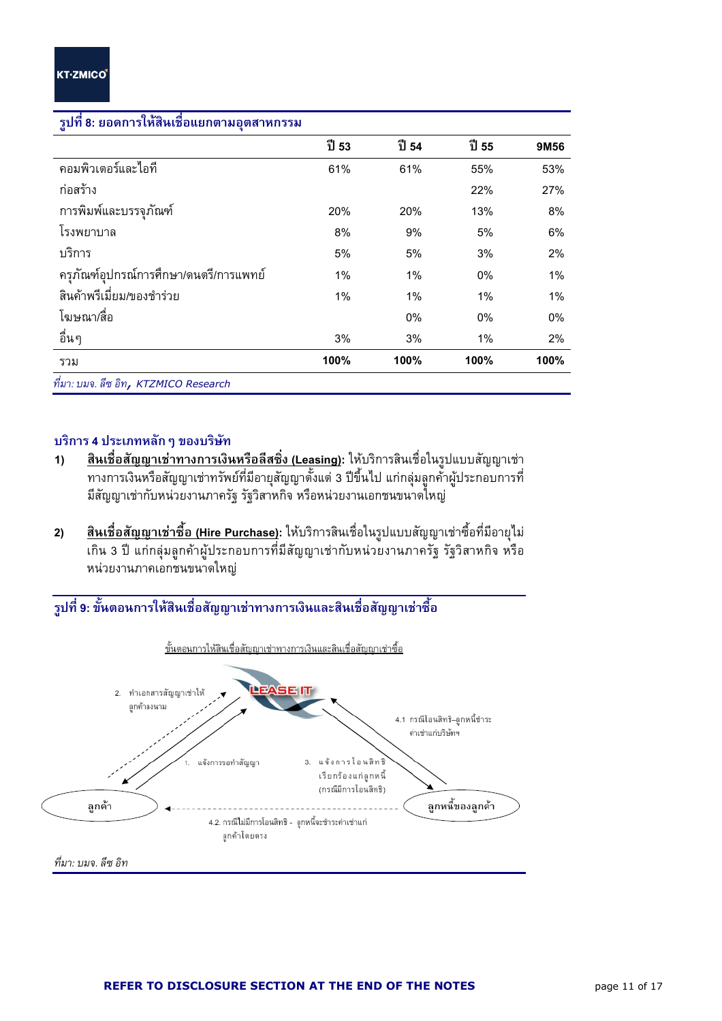l

| ้รูปที่ 8: ยอดการให้สี่นเชื่อแยกตามอุตสาหกรรม |       |       |       |      |
|-----------------------------------------------|-------|-------|-------|------|
|                                               | ปี 53 | ปี 54 | ปี 55 | 9M56 |
| คอมพิวเตอร์และไอที                            | 61%   | 61%   | 55%   | 53%  |
| ก่อสร้าง                                      |       |       | 22%   | 27%  |
| การพิมพ์และบรรจุภัณฑ์                         | 20%   | 20%   | 13%   | 8%   |
| โรงพยาบาล                                     | 8%    | 9%    | 5%    | 6%   |
| บริการ                                        | 5%    | 5%    | 3%    | 2%   |
| ครุภัณฑ์อุปกรณ์การศึกษา/ดนตรี/การแพทย์        | 1%    | 1%    | 0%    | 1%   |
| ์สินค้าพรีเมี่ยม/ของชำร่วย                    | 1%    | 1%    | 1%    | 1%   |
| โฆษณา/สื่อ                                    |       | 0%    | 0%    | 0%   |
| อื่นๆ                                         | 3%    | 3%    | 1%    | 2%   |
| รวม                                           | 100%  | 100%  | 100%  | 100% |
| ที่มา: บมจ. ลีซ อิท <b>, KTZMICO Research</b> |       |       |       |      |

#### รูปที่ 8: ยอดการให้สินเชื่อแยกตาม อ<mark>ุตส</mark>าหกรรม

### บริการ 4 ประเภทหลัก ๆ ของบริษัท

- 1) ,W"\*,aaW)!)2",
\*) (Leasing): =.2-- 
-65)=--\* &NN6+ ทางการเงินหรือสัญญาเช่าทรัพย์ที่มีอายุสัญญาตั้งแต่ 3 ปีขึ้นไป แก่กลุ่มลูกค้าผู้ประกอบการที่ มีสัญญาเช่ากับหน่วยงานภาครัฐ รัฐวิสาหกิจ หรือหน่วยงานเอกชนขนาดใหญ่
- **2) <u>สินเชื่อสัญญาเช่าซื้อ (Hire Purchase)</u>: ใ**ห้บริการสินเชื่อในรูปแบบสัญญาเช่าซื้อที่มีอายุไม่ เกิน 3 ปี แก่กลุ่มลูกค้าผู้ประกอบการที่มีสัญญาเช่ากับหน่วยงานภาครัฐ รัฐวิสาหกิจ หรือ หน่วยงานภาคเอกชนขนาดใหญ่



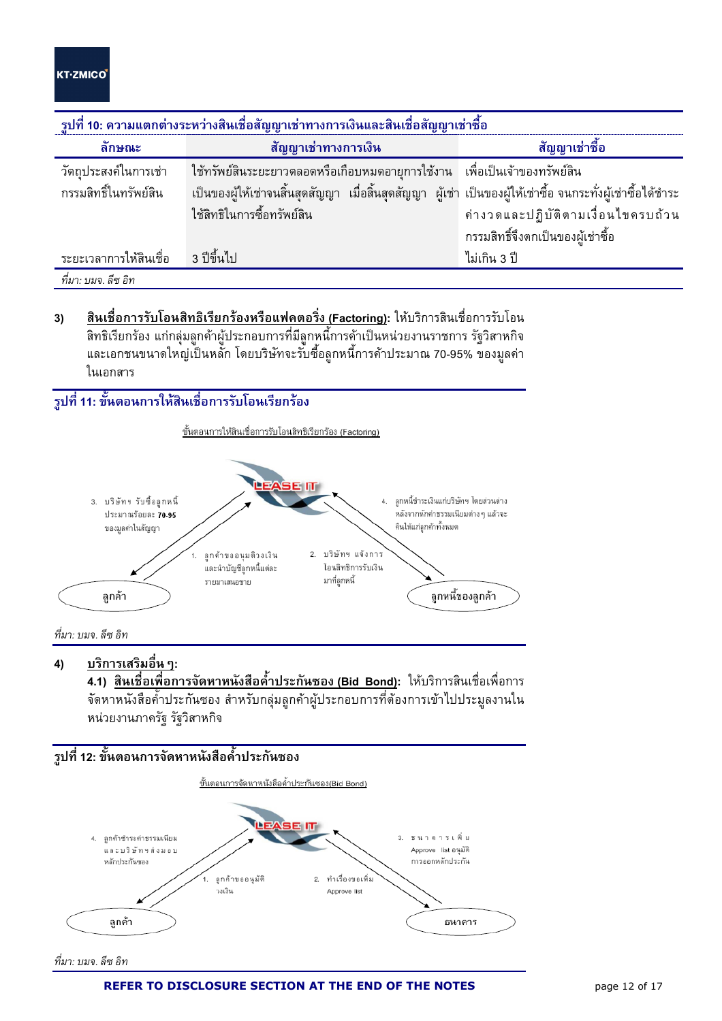l

| ี รูปที่ 10: ความแตกต่างระหว่างสินเชื่อสัญญาเช่าทางการเงินและสินเชื่อสัญญาเช่าซื้อ |                                                                                                              |                                    |  |  |  |  |  |  |
|------------------------------------------------------------------------------------|--------------------------------------------------------------------------------------------------------------|------------------------------------|--|--|--|--|--|--|
| ลักษณะ                                                                             | สัญญาเช่าทางการเงิน                                                                                          | สัญญาเช่าซื้อ                      |  |  |  |  |  |  |
| วัตถประสงค์ในการเช่า                                                               | ใช้ทรัพย์สินระยะยาวตลอดหรือเกือบหมดอายุการใช้งาน เพื่อเป็นเจ้าของทรัพย์สิน                                   |                                    |  |  |  |  |  |  |
| กรรมสิทธิ์ในทรัพย์สิน                                                              | ้เป็นของผู้ให้เช่าจนสิ้นสุดสัญญา เมื่อสิ้นสุดสัญญา ผู้เช่า เป็นของผู้ให้เช่าซื้อ จนกระทั่งผู้เช่าซื้อได้ชำระ |                                    |  |  |  |  |  |  |
|                                                                                    | ใช้สิทธิในการซื้อทรัพย์สิน                                                                                   | ค่างวดและปฏิบัติตามเงื่อนไขครบถ้วน |  |  |  |  |  |  |
|                                                                                    |                                                                                                              | กรรมสิทธิ์จึงตกเป็นของผู้เช่าซื้อ  |  |  |  |  |  |  |
| ระยะเวลาการให้สินเชื่อ 3 ปีขึ้นไป                                                  |                                                                                                              | ไม่เกิน 3 ปี                       |  |  |  |  |  |  |
| ที่มา: บมจ. ลีซ อิท                                                                |                                                                                                              |                                    |  |  |  |  |  |  |

- 
- **3) <u>สินเชื่อการรับโอนสิทธิเรียกร้องหรือแฟคตอริ่ง (Factoring)</u>: ให้บริการสินเชื่อการรับโอน** สิทธิเรียกร้อง แก่กลุ่มลูกค้าผู้ประกอบการที่มีลูกหนี้การค้าเป็นหน่วยงานราชการ รัฐวิสาหกิจ และเอกชนขนาดใหญ่เป็นหลัก โดยบริษัทจะรับซื้อลูกหนี้การค้าประมาณ 70-95% ของมูลค่า ในเอกสาร

## ้รูปที่ 11: ขั้นตอนการให้สินเชื่อการรับโอนเรียกร้อง



..<br>ที่มา บมจ ลีซ อิท

4) <u>บริการเสริมอื่น ๆ</u>:

**4.1) <u>สินเชื่อเพื่อการจัดหาหนังสือค้ำประกันซอง (Bid Bond)</u>: ใ**ห้บริการสินเชื่อเพื่อการ จัดหาหนังสือค้ำประกันซอง สำหรับกลุ่มลูกค้าผู้ประกอบการที่ต้องการเข้าไปประมูลงานใน หน่วยงานภาครัฐ รัฐวิสาหกิจ



ที่มา: บมจ. ลีซ อิท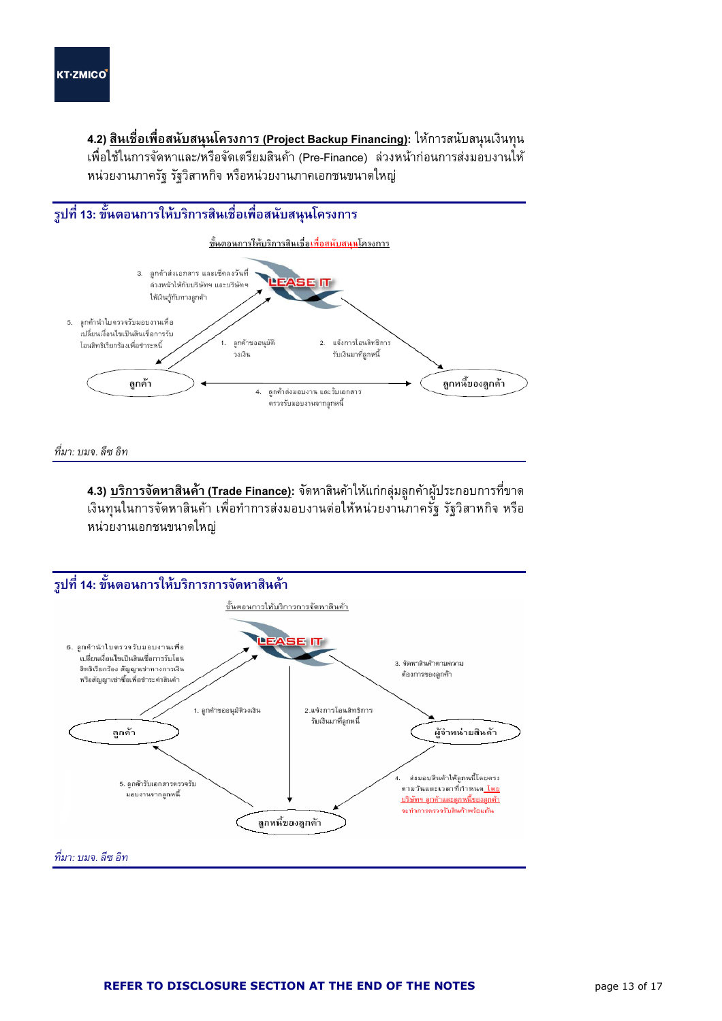l

**4.2) <u>สินเชื่อเพื่อสนับสนุนโครงการ (Project Backup Financing)</u>: ให้การสนับสนุนเงินทุน** เพื่อใช้ในการจัดหาและ/หรือจัดเตรียมสินค้า (Pre-Finance) ล่วงหน้าก่อนการส่งมอบงานให้ หน่วยงานภาครัฐ รัฐวิสาหกิจ หรือหน่วยงานภาคเอกชนขนาดใหญ่



. ที่มา: บมจ. ลีซ อิท

**4.3) <u>บริการจัดหาสินค้า (Trade Finance)</u>:** จัดหาสินค้าให้แก่กลุ่มลูกค้าผู้ประกอบการที่ขาด เงินทุนในการจัดหาสินค้า เพื่อทำการส่งมอบงานต่อให้หน่วยงานภาครัฐ รัฐวิสาหกิจ หรือ หน่วยงานเอกชนขนาดใหญ่

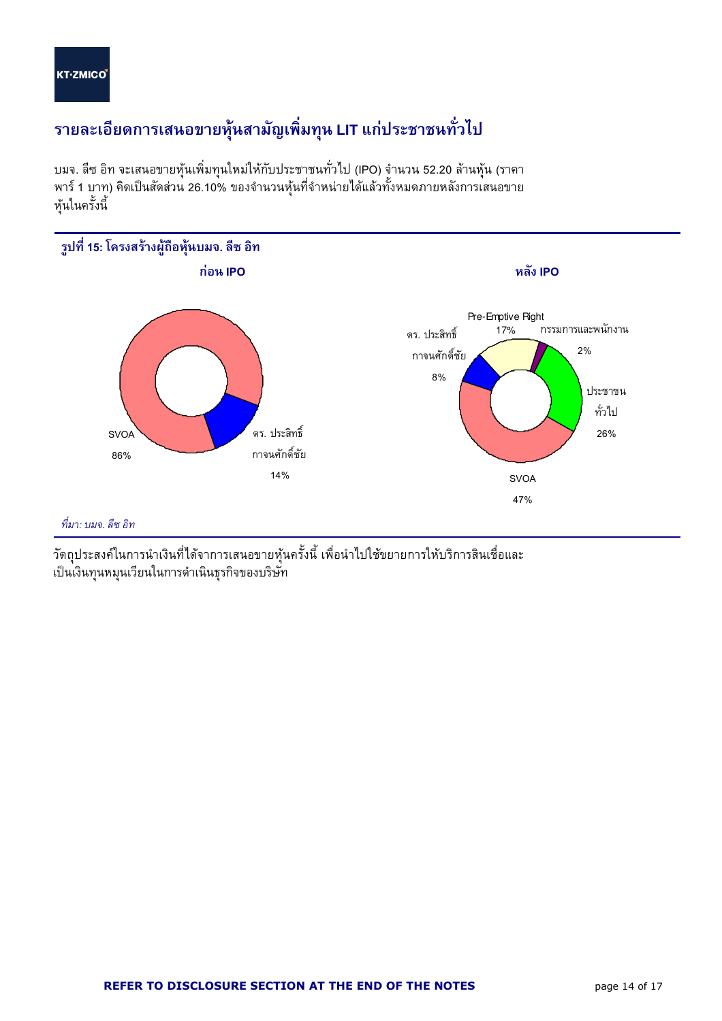l

## รายละเอียดการเสนอขายหุ้นสามัญเพิ่มทุน LIT แก่ประชาชนทั่วไป

บมจ. ลีซ อิท จะเสนอขายหุ้นเพิ่มทุนใหม่ให้กับประชาชนทั่วไป (IPO) จำนวน 52.20 ล้านหุ้น (ราคา พาร์ 1 บาท) คิดเป็นสัดส่วน 26.10% ของจำนวนหุ้นที่จำหน่ายได้แล้วทั้งหมดภายหลังการเสนอขาย หุ้นในครั้งนี้



วัตถุประสงค์ในการนำเงินที่ได้จาการเสนอขายหุ้นครั้งนี้ เพื่อนำไปใช้ขยายการให้บริการสินเชื่อและ เป็นเงินทุนหมุนเวียนในการดำเนินธุรกิจของบริษัท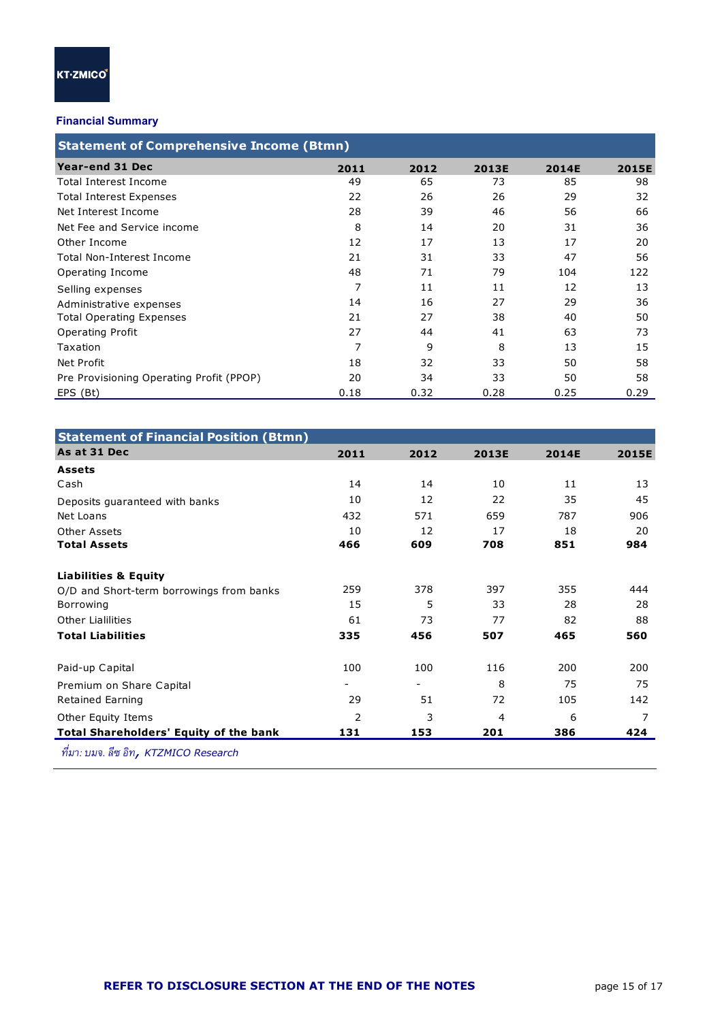l

#### Financial Summary

| <b>Statement of Comprehensive Income (Btmn)</b> |      |      |              |              |              |  |  |  |  |
|-------------------------------------------------|------|------|--------------|--------------|--------------|--|--|--|--|
| Year-end 31 Dec                                 | 2011 | 2012 | <b>2013E</b> | <b>2014E</b> | <b>2015E</b> |  |  |  |  |
| Total Interest Income                           | 49   | 65   | 73           | 85           | 98           |  |  |  |  |
| <b>Total Interest Expenses</b>                  | 22   | 26   | 26           | 29           | 32           |  |  |  |  |
| Net Interest Income                             | 28   | 39   | 46           | 56           | 66           |  |  |  |  |
| Net Fee and Service income                      | 8    | 14   | 20           | 31           | 36           |  |  |  |  |
| Other Income                                    | 12   | 17   | 13           | 17           | 20           |  |  |  |  |
| Total Non-Interest Income                       | 21   | 31   | 33           | 47           | 56           |  |  |  |  |
| Operating Income                                | 48   | 71   | 79           | 104          | 122          |  |  |  |  |
| Selling expenses                                | 7    | 11   | 11           | 12           | 13           |  |  |  |  |
| Administrative expenses                         | 14   | 16   | 27           | 29           | 36           |  |  |  |  |
| <b>Total Operating Expenses</b>                 | 21   | 27   | 38           | 40           | 50           |  |  |  |  |
| <b>Operating Profit</b>                         | 27   | 44   | 41           | 63           | 73           |  |  |  |  |
| Taxation                                        | 7    | 9    | 8            | 13           | 15           |  |  |  |  |
| Net Profit                                      | 18   | 32   | 33           | 50           | 58           |  |  |  |  |
| Pre Provisioning Operating Profit (PPOP)        | 20   | 34   | 33           | 50           | 58           |  |  |  |  |
| EPS (Bt)                                        | 0.18 | 0.32 | 0.28         | 0.25         | 0.29         |  |  |  |  |

| <b>Statement of Financial Position (Btmn)</b>   |                          |      |       |       |       |
|-------------------------------------------------|--------------------------|------|-------|-------|-------|
| As at 31 Dec                                    | 2011                     | 2012 | 2013E | 2014E | 2015E |
| <b>Assets</b>                                   |                          |      |       |       |       |
| Cash                                            | 14                       | 14   | 10    | 11    | 13    |
| Deposits quaranteed with banks                  | 10                       | 12   | 22    | 35    | 45    |
| Net Loans                                       | 432                      | 571  | 659   | 787   | 906   |
| Other Assets                                    | 10                       | 12   | 17    | 18    | 20    |
| <b>Total Assets</b>                             | 466                      | 609  | 708   | 851   | 984   |
| <b>Liabilities &amp; Equity</b>                 |                          |      |       |       |       |
| O/D and Short-term borrowings from banks        | 259                      | 378  | 397   | 355   | 444   |
| Borrowing                                       | 15                       | 5    | 33    | 28    | 28    |
| <b>Other Lialilities</b>                        | 61                       | 73   | 77    | 82    | 88    |
| <b>Total Liabilities</b>                        | 335                      | 456  | 507   | 465   | 560   |
| Paid-up Capital                                 | 100                      | 100  | 116   | 200   | 200   |
| Premium on Share Capital                        | $\overline{\phantom{a}}$ | Ξ.   | 8     | 75    | 75    |
| Retained Earning                                | 29                       | 51   | 72    | 105   | 142   |
| Other Equity Items                              | 2                        | 3    | 4     | 6     |       |
| <b>Total Shareholders' Equity of the bank</b>   | 131                      | 153  | 201   | 386   | 424   |
| $\overline{d}$<br>$\overline{a}$ $\overline{a}$ |                          |      |       |       |       |

ที่มา: บมจ. ลีซ อิท**,** KTZMICO Research -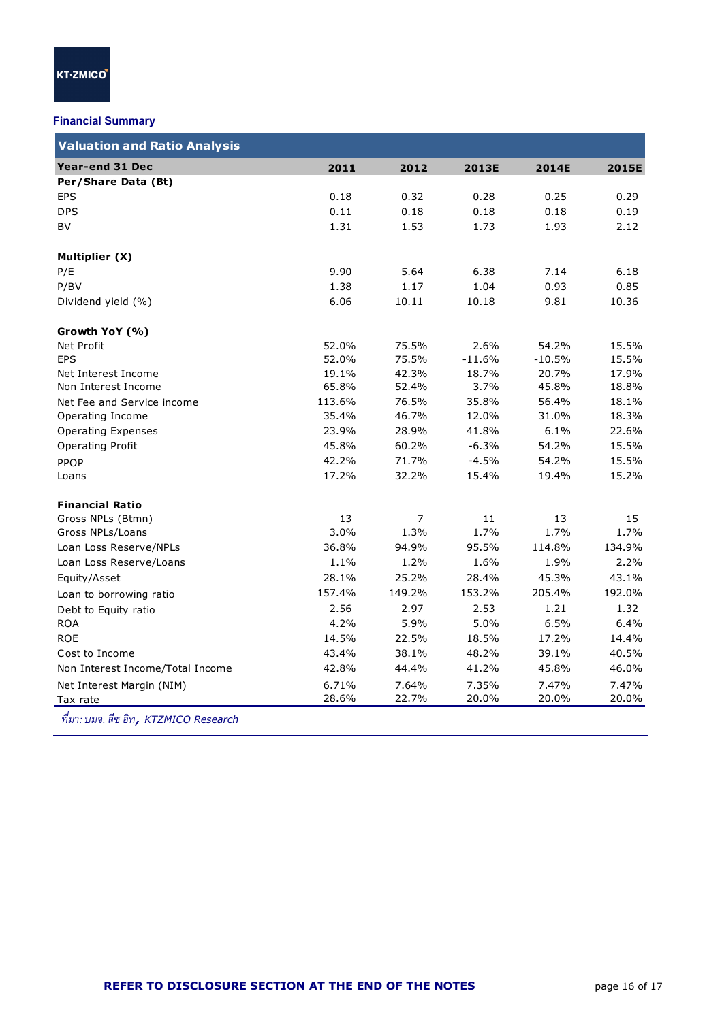l

#### Financial Summary

| 2011<br>2012<br>0.18<br>0.32<br>0.11<br>0.18<br>1.31<br>1.53<br>9.90<br>5.64<br>1.38<br>1.17<br>6.06<br>10.11<br>52.0%<br>75.5%<br>52.0%<br>75.5% | 2013E<br>0.28<br>0.18<br>1.73<br>6.38<br>1.04<br>10.18<br>2.6%                                                                                                                       | 2014E<br>0.25<br>0.18<br>1.93<br>7.14<br>0.93<br>9.81<br>54.2%                                                                                                                                | 2015E<br>0.29<br>0.19<br>2.12<br>6.18<br>0.85<br>10.36                                                                                       |
|---------------------------------------------------------------------------------------------------------------------------------------------------|--------------------------------------------------------------------------------------------------------------------------------------------------------------------------------------|-----------------------------------------------------------------------------------------------------------------------------------------------------------------------------------------------|----------------------------------------------------------------------------------------------------------------------------------------------|
|                                                                                                                                                   |                                                                                                                                                                                      |                                                                                                                                                                                               |                                                                                                                                              |
|                                                                                                                                                   |                                                                                                                                                                                      |                                                                                                                                                                                               |                                                                                                                                              |
|                                                                                                                                                   |                                                                                                                                                                                      |                                                                                                                                                                                               |                                                                                                                                              |
|                                                                                                                                                   |                                                                                                                                                                                      |                                                                                                                                                                                               |                                                                                                                                              |
|                                                                                                                                                   |                                                                                                                                                                                      |                                                                                                                                                                                               |                                                                                                                                              |
|                                                                                                                                                   |                                                                                                                                                                                      |                                                                                                                                                                                               |                                                                                                                                              |
|                                                                                                                                                   |                                                                                                                                                                                      |                                                                                                                                                                                               |                                                                                                                                              |
|                                                                                                                                                   |                                                                                                                                                                                      |                                                                                                                                                                                               |                                                                                                                                              |
|                                                                                                                                                   |                                                                                                                                                                                      |                                                                                                                                                                                               |                                                                                                                                              |
|                                                                                                                                                   |                                                                                                                                                                                      |                                                                                                                                                                                               |                                                                                                                                              |
|                                                                                                                                                   |                                                                                                                                                                                      |                                                                                                                                                                                               | 15.5%                                                                                                                                        |
|                                                                                                                                                   |                                                                                                                                                                                      | $-10.5%$                                                                                                                                                                                      | 15.5%                                                                                                                                        |
|                                                                                                                                                   |                                                                                                                                                                                      | 20.7%                                                                                                                                                                                         | 17.9%                                                                                                                                        |
|                                                                                                                                                   |                                                                                                                                                                                      |                                                                                                                                                                                               | 18.8%                                                                                                                                        |
|                                                                                                                                                   |                                                                                                                                                                                      | 56.4%                                                                                                                                                                                         | 18.1%                                                                                                                                        |
|                                                                                                                                                   |                                                                                                                                                                                      |                                                                                                                                                                                               | 18.3%                                                                                                                                        |
|                                                                                                                                                   | 41.8%                                                                                                                                                                                | 6.1%                                                                                                                                                                                          | 22.6%                                                                                                                                        |
|                                                                                                                                                   |                                                                                                                                                                                      | 54.2%                                                                                                                                                                                         | 15.5%                                                                                                                                        |
|                                                                                                                                                   | $-4.5%$                                                                                                                                                                              | 54.2%                                                                                                                                                                                         | 15.5%                                                                                                                                        |
|                                                                                                                                                   | 15.4%                                                                                                                                                                                | 19.4%                                                                                                                                                                                         | 15.2%                                                                                                                                        |
|                                                                                                                                                   |                                                                                                                                                                                      |                                                                                                                                                                                               |                                                                                                                                              |
|                                                                                                                                                   |                                                                                                                                                                                      |                                                                                                                                                                                               | 15                                                                                                                                           |
|                                                                                                                                                   |                                                                                                                                                                                      |                                                                                                                                                                                               | 1.7%                                                                                                                                         |
|                                                                                                                                                   |                                                                                                                                                                                      | 114.8%                                                                                                                                                                                        | 134.9%                                                                                                                                       |
|                                                                                                                                                   | 1.6%                                                                                                                                                                                 | 1.9%                                                                                                                                                                                          | 2.2%                                                                                                                                         |
|                                                                                                                                                   |                                                                                                                                                                                      | 45.3%                                                                                                                                                                                         | 43.1%                                                                                                                                        |
|                                                                                                                                                   | 153.2%                                                                                                                                                                               |                                                                                                                                                                                               | 192.0%                                                                                                                                       |
| 2.97                                                                                                                                              | 2.53                                                                                                                                                                                 | 1.21                                                                                                                                                                                          | 1.32                                                                                                                                         |
|                                                                                                                                                   | 5.0%                                                                                                                                                                                 | 6.5%                                                                                                                                                                                          | 6.4%                                                                                                                                         |
|                                                                                                                                                   |                                                                                                                                                                                      | 17.2%                                                                                                                                                                                         | 14.4%                                                                                                                                        |
|                                                                                                                                                   |                                                                                                                                                                                      | 39.1%                                                                                                                                                                                         | 40.5%                                                                                                                                        |
|                                                                                                                                                   | 41.2%                                                                                                                                                                                | 45.8%                                                                                                                                                                                         | 46.0%                                                                                                                                        |
|                                                                                                                                                   | 7.35%                                                                                                                                                                                | 7.47%                                                                                                                                                                                         | 7.47%                                                                                                                                        |
|                                                                                                                                                   | 20.0%                                                                                                                                                                                | 20.0%                                                                                                                                                                                         | 20.0%                                                                                                                                        |
|                                                                                                                                                   | 19.1%<br>65.8%<br>113.6%<br>35.4%<br>23.9%<br>45.8%<br>42.2%<br>17.2%<br>13<br>3.0%<br>36.8%<br>1.1%<br>28.1%<br>157.4%<br>2.56<br>4.2%<br>14.5%<br>43.4%<br>42.8%<br>6.71%<br>28.6% | 42.3%<br>52.4%<br>76.5%<br>46.7%<br>28.9%<br>60.2%<br>71.7%<br>32.2%<br>$\overline{7}$<br>11<br>1.3%<br>94.9%<br>1.2%<br>25.2%<br>149.2%<br>5.9%<br>22.5%<br>38.1%<br>44.4%<br>7.64%<br>22.7% | $-11.6%$<br>18.7%<br>3.7%<br>45.8%<br>35.8%<br>12.0%<br>31.0%<br>$-6.3%$<br>13<br>1.7%<br>1.7%<br>95.5%<br>28.4%<br>205.4%<br>18.5%<br>48.2% |